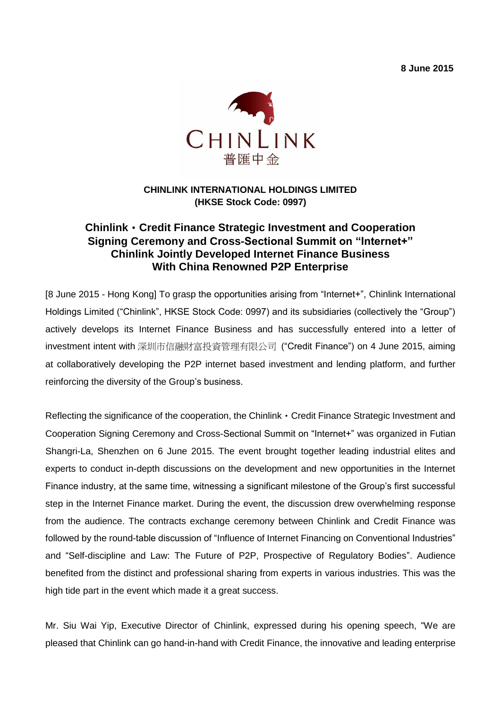**8 June 2015** 



### **CHINLINK INTERNATIONAL HOLDINGS LIMITED (HKSE Stock Code: 0997)**

## **Chinlink**‧**Credit Finance Strategic Investment and Cooperation Signing Ceremony and Cross-Sectional Summit on "Internet+" Chinlink Jointly Developed Internet Finance Business With China Renowned P2P Enterprise**

[8 June 2015 - Hong Kong] To grasp the opportunities arising from "Internet+", Chinlink International Holdings Limited ("Chinlink", HKSE Stock Code: 0997) and its subsidiaries (collectively the "Group") actively develops its Internet Finance Business and has successfully entered into a letter of investment intent with 深圳市信融財富投資管理有限公司 ("Credit Finance") on 4 June 2015, aiming at collaboratively developing the P2P internet based investment and lending platform, and further reinforcing the diversity of the Group's business.

Reflecting the significance of the cooperation, the Chinlink  $\cdot$  Credit Finance Strategic Investment and Cooperation Signing Ceremony and Cross-Sectional Summit on "Internet+" was organized in Futian Shangri-La, Shenzhen on 6 June 2015. The event brought together leading industrial elites and experts to conduct in-depth discussions on the development and new opportunities in the Internet Finance industry, at the same time, witnessing a significant milestone of the Group's first successful step in the Internet Finance market. During the event, the discussion drew overwhelming response from the audience. The contracts exchange ceremony between Chinlink and Credit Finance was followed by the round-table discussion of "Influence of Internet Financing on Conventional Industries" and "Self-discipline and Law: The Future of P2P, Prospective of Regulatory Bodies". Audience benefited from the distinct and professional sharing from experts in various industries. This was the high tide part in the event which made it a great success.

Mr. Siu Wai Yip, Executive Director of Chinlink, expressed during his opening speech, "We are pleased that Chinlink can go hand-in-hand with Credit Finance, the innovative and leading enterprise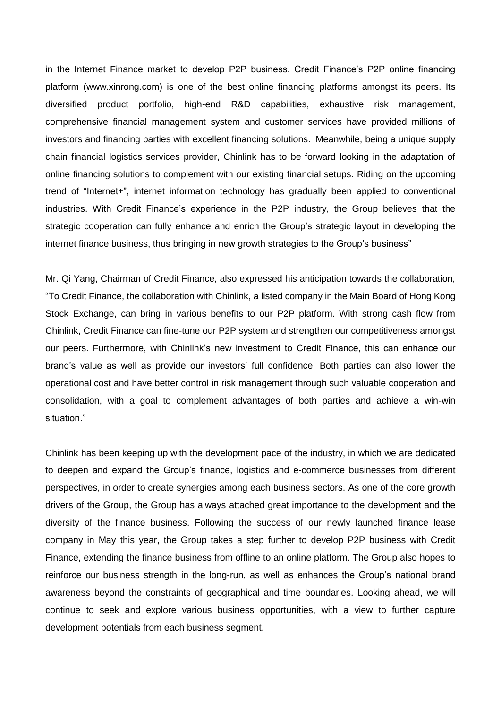in the Internet Finance market to develop P2P business. Credit Finance's P2P online financing platform [\(www.xinrong.com\)](http://www.xinrong.com/) is one of the best online financing platforms amongst its peers. Its diversified product portfolio, high-end R&D capabilities, exhaustive risk management, comprehensive financial management system and customer services have provided millions of investors and financing parties with excellent financing solutions. Meanwhile, being a unique supply chain financial logistics services provider, Chinlink has to be forward looking in the adaptation of online financing solutions to complement with our existing financial setups. Riding on the upcoming trend of "Internet+", internet information technology has gradually been applied to conventional industries. With Credit Finance's experience in the P2P industry, the Group believes that the strategic cooperation can fully enhance and enrich the Group's strategic layout in developing the internet finance business, thus bringing in new growth strategies to the Group's business"

Mr. Qi Yang, Chairman of Credit Finance, also expressed his anticipation towards the collaboration, "To Credit Finance, the collaboration with Chinlink, a listed company in the Main Board of Hong Kong Stock Exchange, can bring in various benefits to our P2P platform. With strong cash flow from Chinlink, Credit Finance can fine-tune our P2P system and strengthen our competitiveness amongst our peers. Furthermore, with Chinlink's new investment to Credit Finance, this can enhance our brand's value as well as provide our investors' full confidence. Both parties can also lower the operational cost and have better control in risk management through such valuable cooperation and consolidation, with a goal to complement advantages of both parties and achieve a win-win situation."

Chinlink has been keeping up with the development pace of the industry, in which we are dedicated to deepen and expand the Group's finance, logistics and e-commerce businesses from different perspectives, in order to create synergies among each business sectors. As one of the core growth drivers of the Group, the Group has always attached great importance to the development and the diversity of the finance business. Following the success of our newly launched finance lease company in May this year, the Group takes a step further to develop P2P business with Credit Finance, extending the finance business from offline to an online platform. The Group also hopes to reinforce our business strength in the long-run, as well as enhances the Group's national brand awareness beyond the constraints of geographical and time boundaries. Looking ahead, we will continue to seek and explore various business opportunities, with a view to further capture development potentials from each business segment.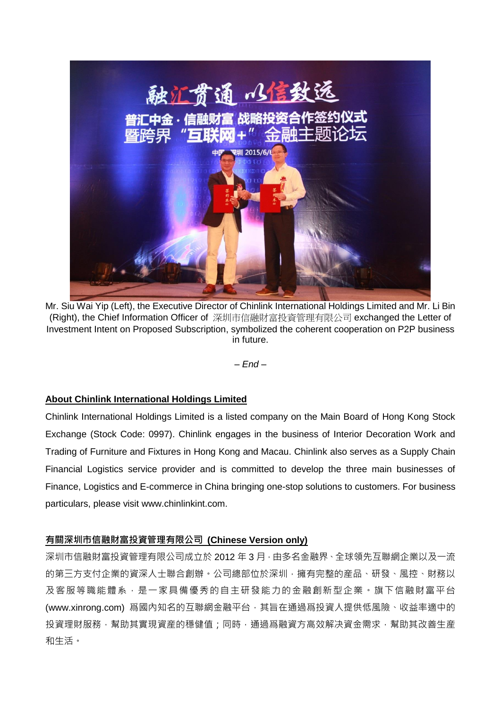

Mr. Siu Wai Yip (Left), the Executive Director of Chinlink International Holdings Limited and Mr. Li Bin (Right), the Chief Information Officer of 深圳市信融財富投資管理有限公司 exchanged the Letter of Investment Intent on Proposed Subscription, symbolized the coherent cooperation on P2P business in future.

*– End –*

#### **About Chinlink International Holdings Limited**

Chinlink International Holdings Limited is a listed company on the Main Board of Hong Kong Stock Exchange (Stock Code: 0997). Chinlink engages in the business of Interior Decoration Work and Trading of Furniture and Fixtures in Hong Kong and Macau. Chinlink also serves as a Supply Chain Financial Logistics service provider and is committed to develop the three main businesses of Finance, Logistics and E-commerce in China bringing one-stop solutions to customers. For business particulars, please visit [www.chinlinkint.com.](http://www.chinlinkint.com/)

#### 有關深圳市信融財富投資管理有限公司 **(Chinese Version only)**

深圳市信融財富投資管理有限公司成立於 2012 年 3 月 · 由多名金融界、全球領先互聯網企業以及一流 的第三方支付企業的資深人士聯合創辦。公司總部位於深圳,擁有完整的産品、研發、風控、財務以 及客服等職能體系,是一家具備優秀的自主研發能力的金融創新型企業。旗下信融財富平台 (www.xinrong.com) 爲國內知名的互聯網金融平台, 其旨在通過爲投資人提供低風險、收益率適中的 投資理財服務,幫助其實現資産的穩健值;同時,通過爲融資方高效解决資金需求,幫助其改善生産 和生活。